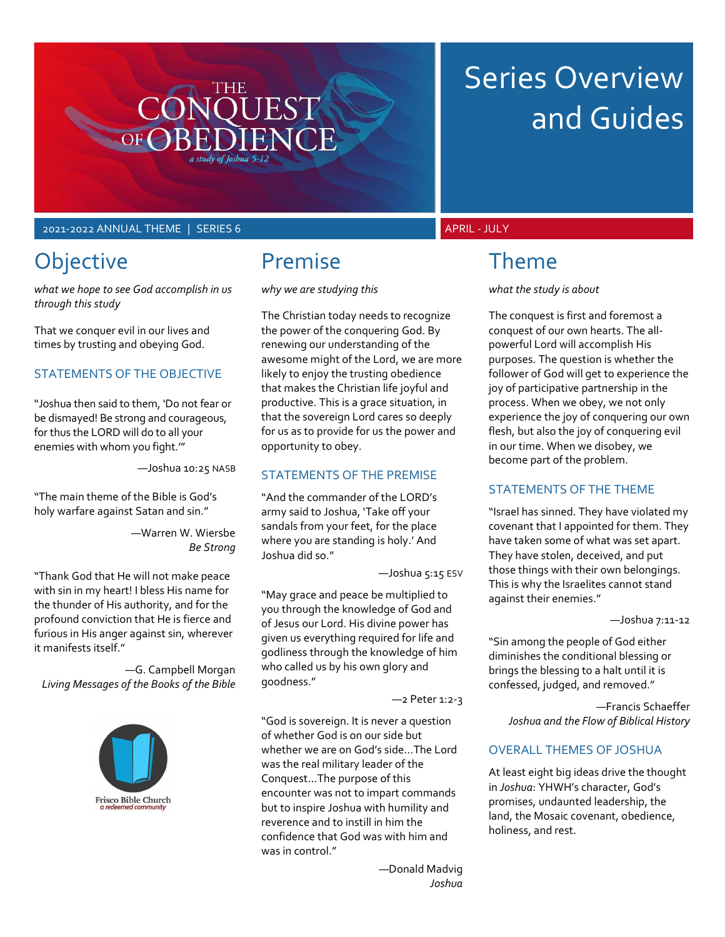

# Series Overview and Guides

#### 2021-2022 ANNUAL THEME | SERIES 6 APRIL - JULY

### **Objective**

what we hope to see God accomplish in us through this study

That we conquer evil in our lives and times by trusting and obeying God.

#### STATEMENTS OF THE OBJECTIVE

"Joshua then said to them, 'Do not fear or be dismayed! Be strong and courageous, for thus the LORD will do to all your enemies with whom you fight.'"

—Joshua 10:25 NASB

"The main theme of the Bible is God's holy warfare against Satan and sin."

> —Warren W. Wiersbe Be Strong

"Thank God that He will not make peace with sin in my heart! I bless His name for the thunder of His authority, and for the profound conviction that He is fierce and furious in His anger against sin, wherever it manifests itself."

—G. Campbell Morgan Living Messages of the Books of the Bible



### Premise

#### why we are studying this

The Christian today needs to recognize the power of the conquering God. By renewing our understanding of the awesome might of the Lord, we are more likely to enjoy the trusting obedience that makes the Christian life joyful and productive. This is a grace situation, in that the sovereign Lord cares so deeply for us as to provide for us the power and opportunity to obey.

#### STATEMENTS OF THE PREMISE

"And the commander of the LORD's army said to Joshua, 'Take off your sandals from your feet, for the place where you are standing is holy.' And Joshua did so."

—Joshua 5:15 ESV

"May grace and peace be multiplied to you through the knowledge of God and of Jesus our Lord. His divine power has given us everything required for life and godliness through the knowledge of him who called us by his own glory and goodness."

—2 Peter 1:2-3

"God is sovereign. It is never a question of whether God is on our side but whether we are on God's side…The Lord was the real military leader of the Conquest…The purpose of this encounter was not to impart commands but to inspire Joshua with humility and reverence and to instill in him the confidence that God was with him and was in control."

> —Donald Madvig Joshua

### Theme

#### what the study is about

The conquest is first and foremost a conquest of our own hearts. The allpowerful Lord will accomplish His purposes. The question is whether the follower of God will get to experience the joy of participative partnership in the process. When we obey, we not only experience the joy of conquering our own flesh, but also the joy of conquering evil in our time. When we disobey, we become part of the problem.

#### STATEMENTS OF THE THEME

"Israel has sinned. They have violated my covenant that I appointed for them. They have taken some of what was set apart. They have stolen, deceived, and put those things with their own belongings. This is why the Israelites cannot stand against their enemies."

—Joshua 7:11-12

"Sin among the people of God either diminishes the conditional blessing or brings the blessing to a halt until it is confessed, judged, and removed."

> —Francis Schaeffer Joshua and the Flow of Biblical History

#### OVERALL THEMES OF JOSHUA

At least eight big ideas drive the thought in Joshua: YHWH's character, God's promises, undaunted leadership, the land, the Mosaic covenant, obedience, holiness, and rest.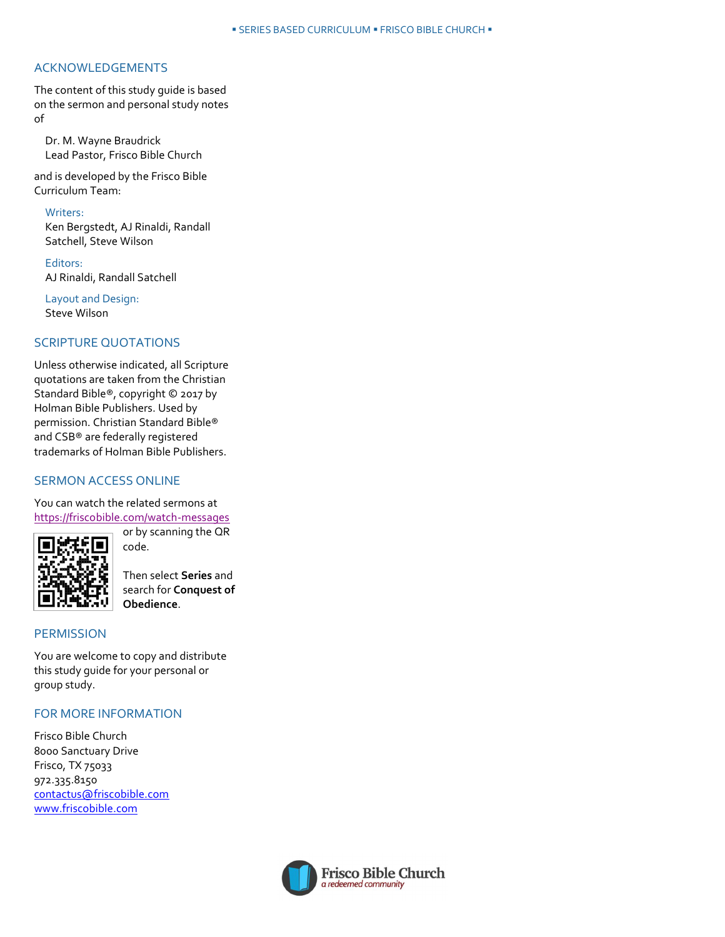#### ACKNOWLEDGEMENTS

The content of this study guide is based on the sermon and personal study notes of

Dr. M. Wayne Braudrick Lead Pastor, Frisco Bible Church

and is developed by the Frisco Bible Curriculum Team:

Writers:

Ken Bergstedt, AJ Rinaldi, Randall Satchell, Steve Wilson

Editors: AJ Rinaldi, Randall Satchell

Layout and Design: Steve Wilson

#### SCRIPTURE QUOTATIONS

Unless otherwise indicated, all Scripture quotations are taken from the Christian Standard Bible®, copyright © 2017 by Holman Bible Publishers. Used by permission. Christian Standard Bible® and CSB® are federally registered trademarks of Holman Bible Publishers.

#### SERMON ACCESS ONLINE

You can watch the related sermons at https://friscobible.com/watch-messages



or by scanning the QR code.

Then select Series and search for Conquest of Obedience.

#### **PERMISSION**

You are welcome to copy and distribute this study guide for your personal or group study.

#### FOR MORE INFORMATION

Frisco Bible Church 8000 Sanctuary Drive Frisco, TX 75033 972.335.8150 contactus@friscobible.com www.friscobible.com

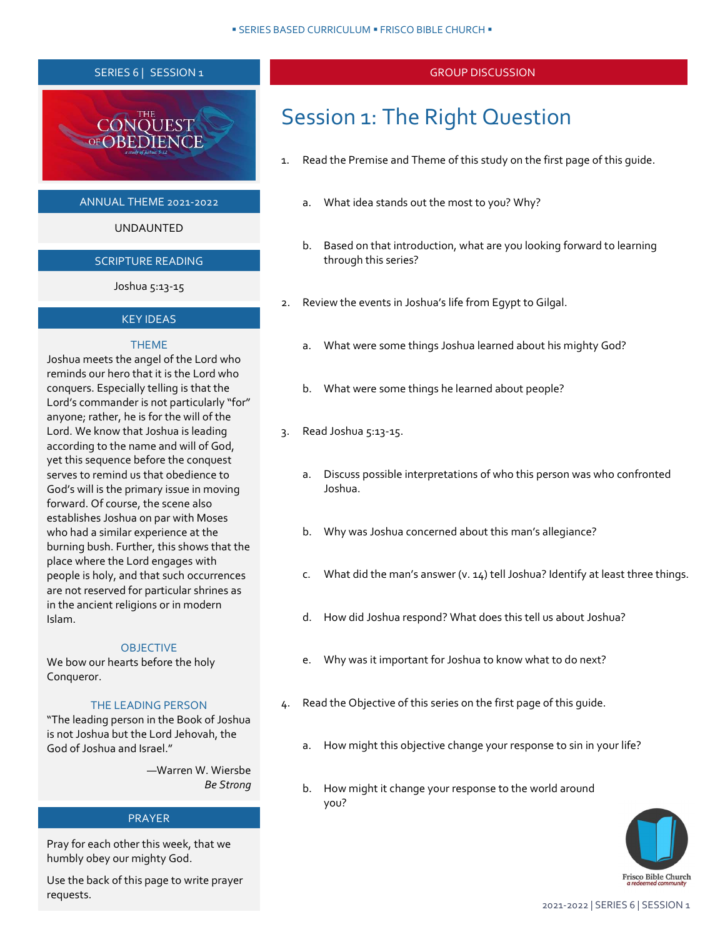

#### ANNUAL THEME 2021-2022

#### UNDAUNTED

#### SCRIPTURE READING

Joshua 5:13-15

#### KEY IDEAS

#### THEME

Joshua meets the angel of the Lord who reminds our hero that it is the Lord who conquers. Especially telling is that the Lord's commander is not particularly "for" anyone; rather, he is for the will of the Lord. We know that Joshua is leading according to the name and will of God, yet this sequence before the conquest serves to remind us that obedience to God's will is the primary issue in moving forward. Of course, the scene also establishes Joshua on par with Moses who had a similar experience at the burning bush. Further, this shows that the place where the Lord engages with people is holy, and that such occurrences are not reserved for particular shrines as in the ancient religions or in modern Islam.

#### **OBJECTIVE**

We bow our hearts before the holy Conqueror.

#### THE LEADING PERSON

"The leading person in the Book of Joshua is not Joshua but the Lord Jehovah, the God of Joshua and Israel."

> —Warren W. Wiersbe Be Strong

#### PRAYER

Pray for each other this week, that we humbly obey our mighty God.

Use the back of this page to write prayer requests.

#### GROUP DISCUSSION

### Session 1: The Right Question

- 1. Read the Premise and Theme of this study on the first page of this guide.
	- a. What idea stands out the most to you? Why?
	- b. Based on that introduction, what are you looking forward to learning through this series?
- 2. Review the events in Joshua's life from Egypt to Gilgal.
	- What were some things Joshua learned about his mighty God?
	- b. What were some things he learned about people?
- 3. Read Joshua 5:13-15.
	- a. Discuss possible interpretations of who this person was who confronted Joshua.
	- b. Why was Joshua concerned about this man's allegiance?
	- c. What did the man's answer (v. 14) tell Joshua? Identify at least three things.
	- d. How did Joshua respond? What does this tell us about Joshua?
	- e. Why was it important for Joshua to know what to do next?
- 4. Read the Objective of this series on the first page of this guide.
	- a. How might this objective change your response to sin in your life?
	- b. How might it change your response to the world around you?

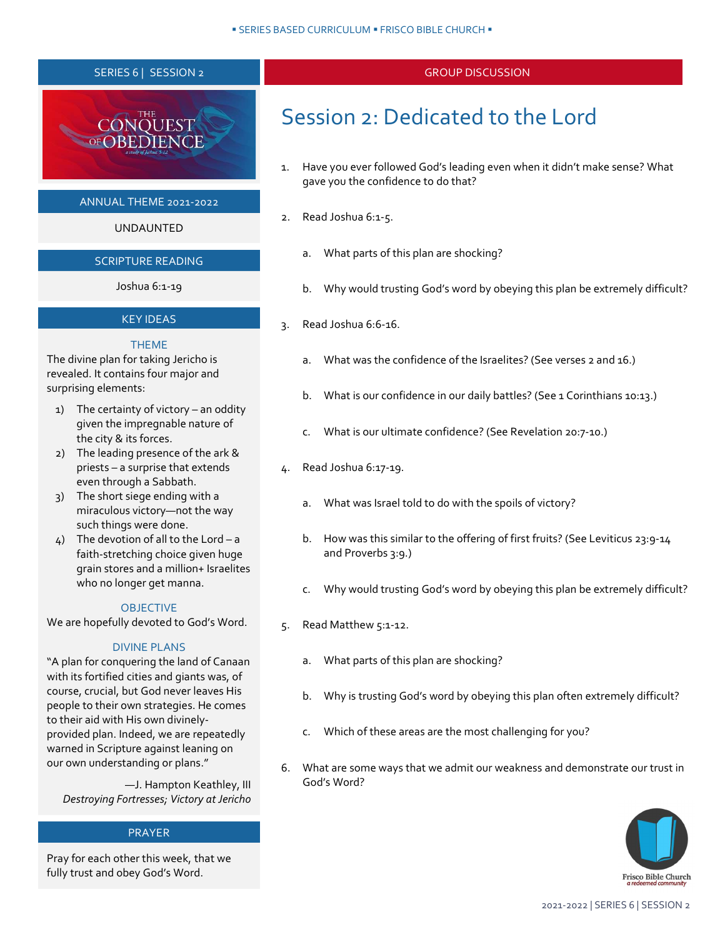

#### ANNUAL THEME 2021-2022

UNDAUNTED

#### SCRIPTURE READING

Joshua 6:1-19

#### KEY IDEAS

#### THEME

The divine plan for taking Jericho is revealed. It contains four major and surprising elements:

- 1) The certainty of victory an oddity given the impregnable nature of the city & its forces.
- 2) The leading presence of the ark & priests – a surprise that extends even through a Sabbath.
- 3) The short siege ending with a miraculous victory—not the way such things were done.
- 4) The devotion of all to the Lord a faith-stretching choice given huge grain stores and a million+ Israelites who no longer get manna.

#### **OBJECTIVE**

We are hopefully devoted to God's Word.

#### DIVINE PLANS

"A plan for conquering the land of Canaan with its fortified cities and giants was, of course, crucial, but God never leaves His people to their own strategies. He comes to their aid with His own divinelyprovided plan. Indeed, we are repeatedly warned in Scripture against leaning on our own understanding or plans."

—J. Hampton Keathley, III Destroying Fortresses; Victory at Jericho

#### PRAYER

Pray for each other this week, that we fully trust and obey God's Word.

#### GROUP DISCUSSION

### Session 2: Dedicated to the Lord

- 1. Have you ever followed God's leading even when it didn't make sense? What gave you the confidence to do that?
- 2. Read Joshua 6:1-5.
	- a. What parts of this plan are shocking?
	- b. Why would trusting God's word by obeying this plan be extremely difficult?
- 3. Read Joshua 6:6-16.
	- a. What was the confidence of the Israelites? (See verses 2 and 16.)
	- b. What is our confidence in our daily battles? (See 1 Corinthians 10:13.)
	- c. What is our ultimate confidence? (See Revelation 20:7-10.)
- Read Joshua 6:17-19.
	- a. What was Israel told to do with the spoils of victory?
	- b. How was this similar to the offering of first fruits? (See Leviticus 23:9-14 and Proverbs 3:9.)
	- c. Why would trusting God's word by obeying this plan be extremely difficult?
- 5. Read Matthew 5:1-12.
	- a. What parts of this plan are shocking?
	- b. Why is trusting God's word by obeying this plan often extremely difficult?
	- c. Which of these areas are the most challenging for you?
- 6. What are some ways that we admit our weakness and demonstrate our trust in God's Word?

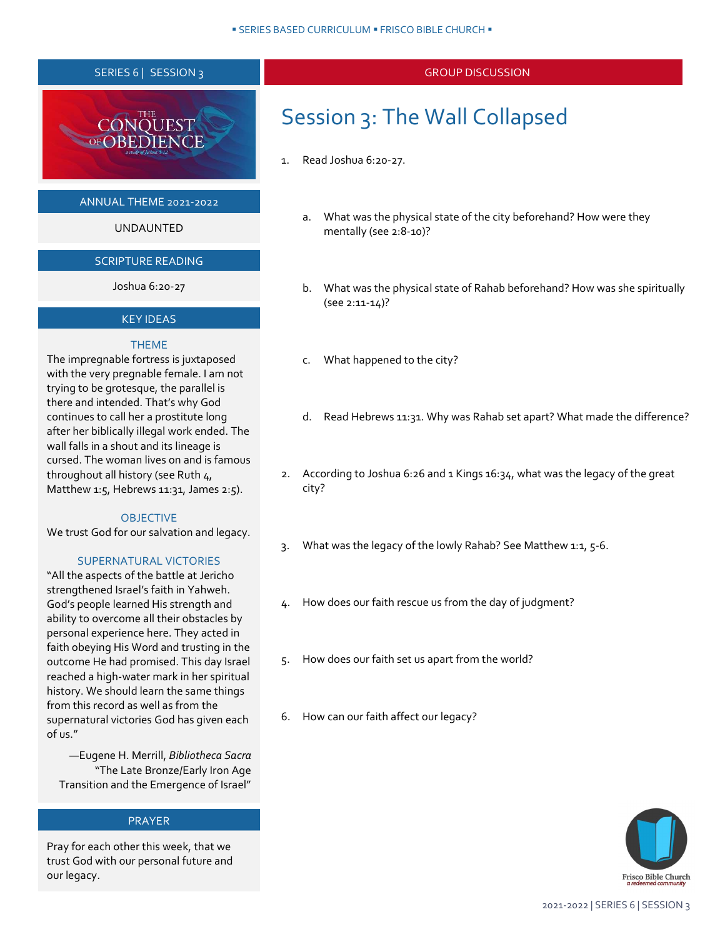

#### ANNUAL THEME 2021-2022

# UNDAUNTED

SCRIPTURE READING

Joshua 6:20-27

#### KEY IDEAS

#### THEME

The impregnable fortress is juxtaposed with the very pregnable female. I am not trying to be grotesque, the parallel is there and intended. That's why God continues to call her a prostitute long after her biblically illegal work ended. The wall falls in a shout and its lineage is cursed. The woman lives on and is famous throughout all history (see Ruth 4, Matthew 1:5, Hebrews 11:31, James 2:5).

#### OBJECTIVE

We trust God for our salvation and legacy.

#### SUPERNATURAL VICTORIES

"All the aspects of the battle at Jericho strengthened Israel's faith in Yahweh. God's people learned His strength and ability to overcome all their obstacles by personal experience here. They acted in faith obeying His Word and trusting in the outcome He had promised. This day Israel reached a high-water mark in her spiritual history. We should learn the same things from this record as well as from the supernatural victories God has given each of us."

—Eugene H. Merrill, Bibliotheca Sacra "The Late Bronze/Early Iron Age Transition and the Emergence of Israel"

#### PRAYER

Pray for each other this week, that we trust God with our personal future and our legacy.

#### GROUP DISCUSSION

## Session 3: The Wall Collapsed

- 1. Read Joshua 6:20-27.
	- a. What was the physical state of the city beforehand? How were they mentally (see 2:8-10)?
	- b. What was the physical state of Rahab beforehand? How was she spiritually (see 2:11-14)?
	- c. What happened to the city?
	- d. Read Hebrews 11:31. Why was Rahab set apart? What made the difference?
- 2. According to Joshua 6:26 and 1 Kings 16:34, what was the legacy of the great city?
- 3. What was the legacy of the lowly Rahab? See Matthew 1:1, 5-6.
- 4. How does our faith rescue us from the day of judgment?
- 5. How does our faith set us apart from the world?
- 6. How can our faith affect our legacy?